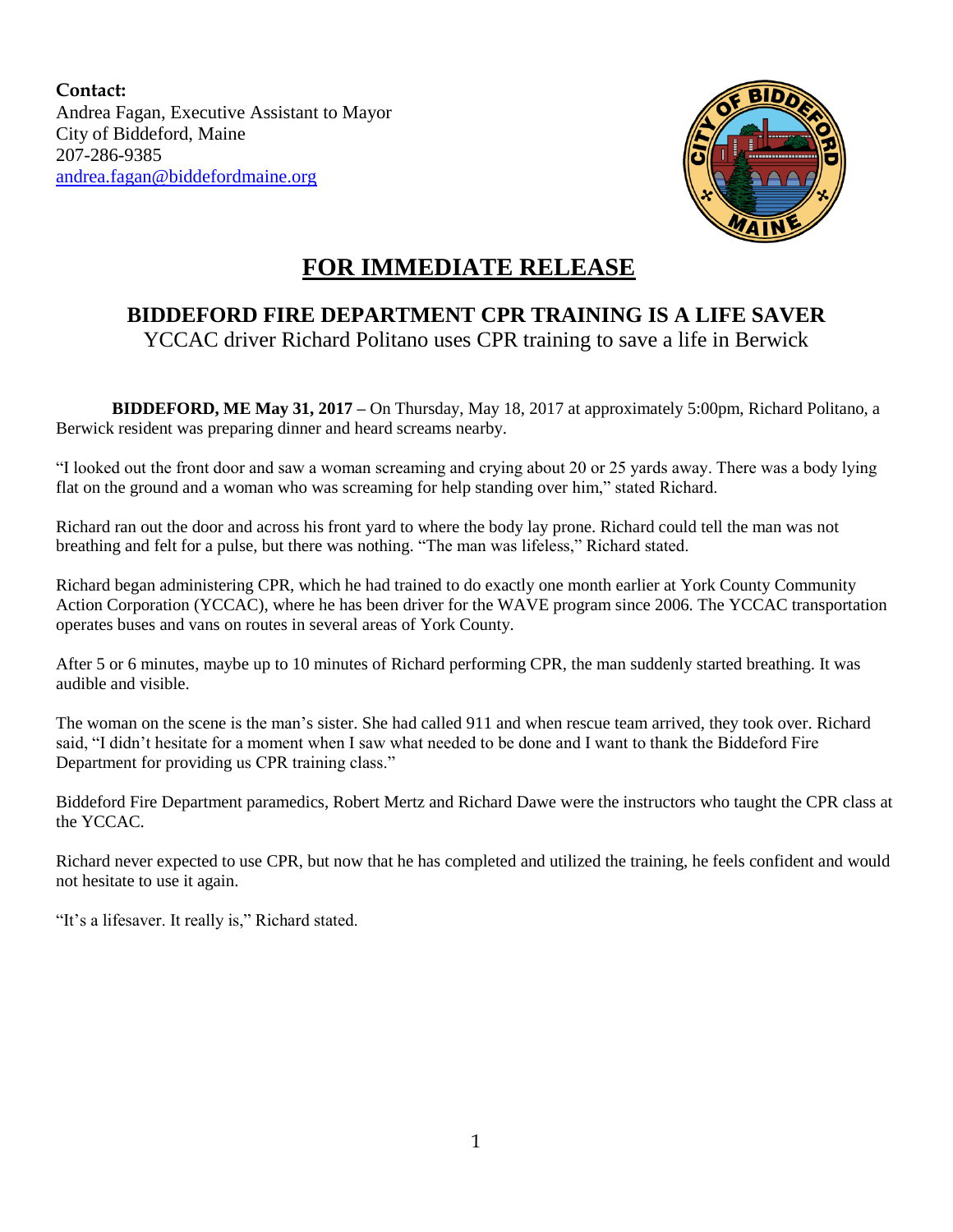**Contact:** Andrea Fagan, Executive Assistant to Mayor City of Biddeford, Maine 207-286-9385 [andrea.fagan@biddefordmaine.org](mailto:andrea.fagan@biddefordmaine.org)



## **FOR IMMEDIATE RELEASE**

## **BIDDEFORD FIRE DEPARTMENT CPR TRAINING IS A LIFE SAVER**

YCCAC driver Richard Politano uses CPR training to save a life in Berwick

**BIDDEFORD, ME May 31, 2017 –** On Thursday, May 18, 2017 at approximately 5:00pm, Richard Politano, a Berwick resident was preparing dinner and heard screams nearby.

"I looked out the front door and saw a woman screaming and crying about 20 or 25 yards away. There was a body lying flat on the ground and a woman who was screaming for help standing over him," stated Richard.

Richard ran out the door and across his front yard to where the body lay prone. Richard could tell the man was not breathing and felt for a pulse, but there was nothing. "The man was lifeless," Richard stated.

Richard began administering CPR, which he had trained to do exactly one month earlier at York County Community Action Corporation (YCCAC), where he has been driver for the WAVE program since 2006. The YCCAC transportation operates buses and vans on routes in several areas of York County.

After 5 or 6 minutes, maybe up to 10 minutes of Richard performing CPR, the man suddenly started breathing. It was audible and visible.

The woman on the scene is the man's sister. She had called 911 and when rescue team arrived, they took over. Richard said, "I didn't hesitate for a moment when I saw what needed to be done and I want to thank the Biddeford Fire Department for providing us CPR training class."

Biddeford Fire Department paramedics, Robert Mertz and Richard Dawe were the instructors who taught the CPR class at the YCCAC.

Richard never expected to use CPR, but now that he has completed and utilized the training, he feels confident and would not hesitate to use it again.

"It's a lifesaver. It really is," Richard stated.